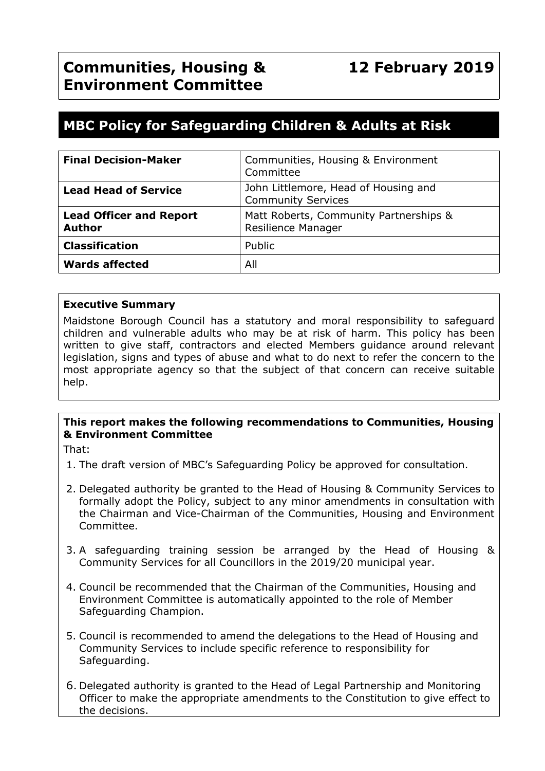# **MBC Policy for Safeguarding Children & Adults at Risk**

| <b>Final Decision-Maker</b>                     | Communities, Housing & Environment<br>Committee                     |
|-------------------------------------------------|---------------------------------------------------------------------|
| <b>Lead Head of Service</b>                     | John Littlemore, Head of Housing and<br><b>Community Services</b>   |
| <b>Lead Officer and Report</b><br><b>Author</b> | Matt Roberts, Community Partnerships &<br><b>Resilience Manager</b> |
| <b>Classification</b>                           | Public                                                              |
| <b>Wards affected</b>                           | All                                                                 |

#### **Executive Summary**

Maidstone Borough Council has a statutory and moral responsibility to safeguard children and vulnerable adults who may be at risk of harm. This policy has been written to give staff, contractors and elected Members guidance around relevant legislation, signs and types of abuse and what to do next to refer the concern to the most appropriate agency so that the subject of that concern can receive suitable help.

#### **This report makes the following recommendations to Communities, Housing & Environment Committee**

That:

- 1. The draft version of MBC's Safeguarding Policy be approved for consultation.
- 2. Delegated authority be granted to the Head of Housing & Community Services to formally adopt the Policy, subject to any minor amendments in consultation with the Chairman and Vice-Chairman of the Communities, Housing and Environment Committee.
- 3. A safeguarding training session be arranged by the Head of Housing & Community Services for all Councillors in the 2019/20 municipal year.
- 4. Council be recommended that the Chairman of the Communities, Housing and Environment Committee is automatically appointed to the role of Member Safeguarding Champion.
- 5. Council is recommended to amend the delegations to the Head of Housing and Community Services to include specific reference to responsibility for Safeguarding.
- 6. Delegated authority is granted to the Head of Legal Partnership and Monitoring Officer to make the appropriate amendments to the Constitution to give effect to the decisions.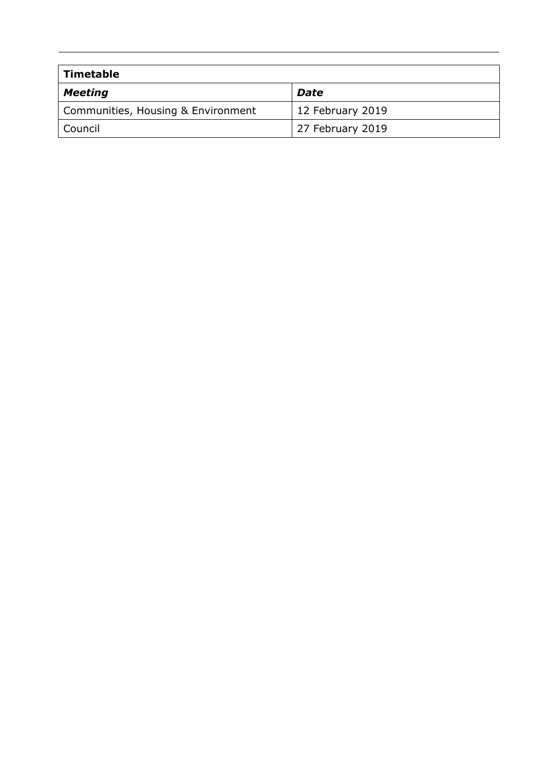| Timetable                          |                  |
|------------------------------------|------------------|
| Meeting                            | Date             |
| Communities, Housing & Environment | 12 February 2019 |
| Council                            | 27 February 2019 |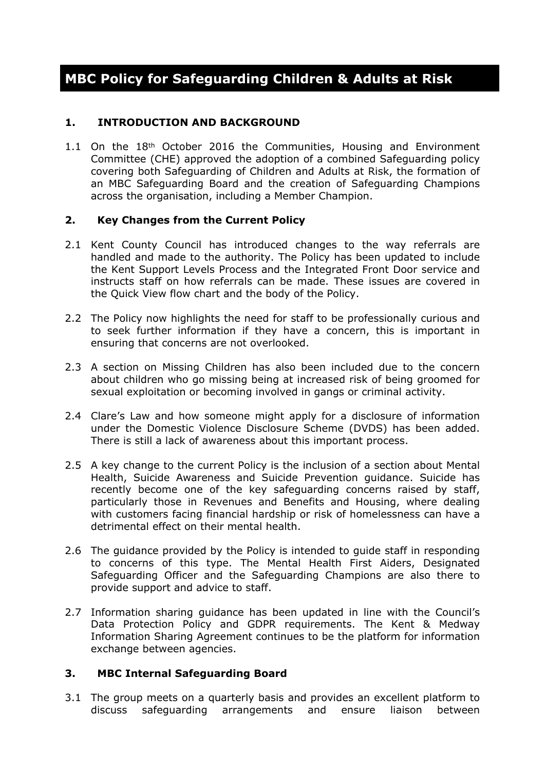## **MBC Policy for Safeguarding Children & Adults at Risk**

## **1. INTRODUCTION AND BACKGROUND**

1.1 On the 18<sup>th</sup> October 2016 the Communities, Housing and Environment Committee (CHE) approved the adoption of a combined Safeguarding policy covering both Safeguarding of Children and Adults at Risk, the formation of an MBC Safeguarding Board and the creation of Safeguarding Champions across the organisation, including a Member Champion.

#### **2. Key Changes from the Current Policy**

- 2.1 Kent County Council has introduced changes to the way referrals are handled and made to the authority. The Policy has been updated to include the Kent Support Levels Process and the Integrated Front Door service and instructs staff on how referrals can be made. These issues are covered in the Quick View flow chart and the body of the Policy.
- 2.2 The Policy now highlights the need for staff to be professionally curious and to seek further information if they have a concern, this is important in ensuring that concerns are not overlooked.
- 2.3 A section on Missing Children has also been included due to the concern about children who go missing being at increased risk of being groomed for sexual exploitation or becoming involved in gangs or criminal activity.
- 2.4 Clare's Law and how someone might apply for a disclosure of information under the Domestic Violence Disclosure Scheme (DVDS) has been added. There is still a lack of awareness about this important process.
- 2.5 A key change to the current Policy is the inclusion of a section about Mental Health, Suicide Awareness and Suicide Prevention guidance. Suicide has recently become one of the key safeguarding concerns raised by staff, particularly those in Revenues and Benefits and Housing, where dealing with customers facing financial hardship or risk of homelessness can have a detrimental effect on their mental health.
- 2.6 The guidance provided by the Policy is intended to guide staff in responding to concerns of this type. The Mental Health First Aiders, Designated Safeguarding Officer and the Safeguarding Champions are also there to provide support and advice to staff.
- 2.7 Information sharing guidance has been updated in line with the Council's Data Protection Policy and GDPR requirements. The Kent & Medway Information Sharing Agreement continues to be the platform for information exchange between agencies.

#### **3. MBC Internal Safeguarding Board**

3.1 The group meets on a quarterly basis and provides an excellent platform to discuss safeguarding arrangements and ensure liaison between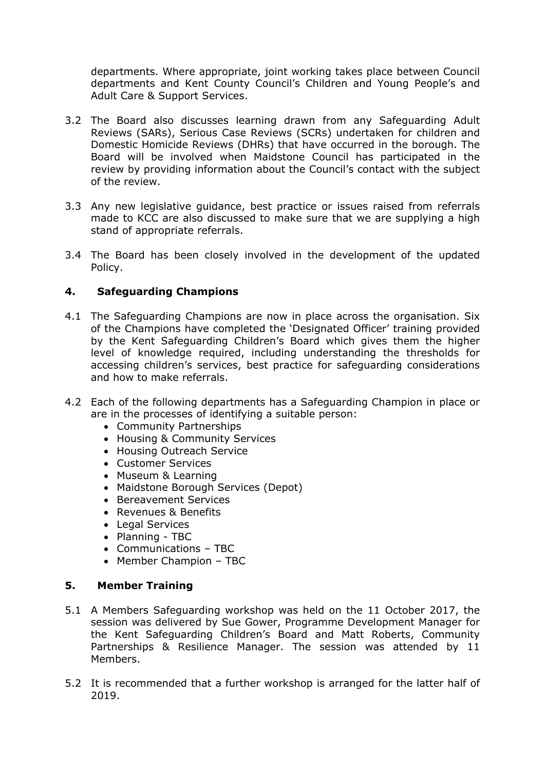departments. Where appropriate, joint working takes place between Council departments and Kent County Council's Children and Young People's and Adult Care & Support Services.

- 3.2 The Board also discusses learning drawn from any Safeguarding Adult Reviews (SARs), Serious Case Reviews (SCRs) undertaken for children and Domestic Homicide Reviews (DHRs) that have occurred in the borough. The Board will be involved when Maidstone Council has participated in the review by providing information about the Council's contact with the subject of the review.
- 3.3 Any new legislative guidance, best practice or issues raised from referrals made to KCC are also discussed to make sure that we are supplying a high stand of appropriate referrals.
- 3.4 The Board has been closely involved in the development of the updated Policy.

#### **4. Safeguarding Champions**

- 4.1 The Safeguarding Champions are now in place across the organisation. Six of the Champions have completed the 'Designated Officer' training provided by the Kent Safeguarding Children's Board which gives them the higher level of knowledge required, including understanding the thresholds for accessing children's services, best practice for safeguarding considerations and how to make referrals.
- 4.2 Each of the following departments has a Safeguarding Champion in place or are in the processes of identifying a suitable person:
	- Community Partnerships
	- Housing & Community Services
	- Housing Outreach Service
	- Customer Services
	- Museum & Learning
	- Maidstone Borough Services (Depot)
	- Bereavement Services
	- Revenues & Benefits
	- Legal Services
	- Planning TBC
	- Communications TBC
	- Member Champion TBC

#### **5. Member Training**

- 5.1 A Members Safeguarding workshop was held on the 11 October 2017, the session was delivered by Sue Gower, Programme Development Manager for the Kent Safeguarding Children's Board and Matt Roberts, Community Partnerships & Resilience Manager. The session was attended by 11 Members.
- 5.2 It is recommended that a further workshop is arranged for the latter half of 2019.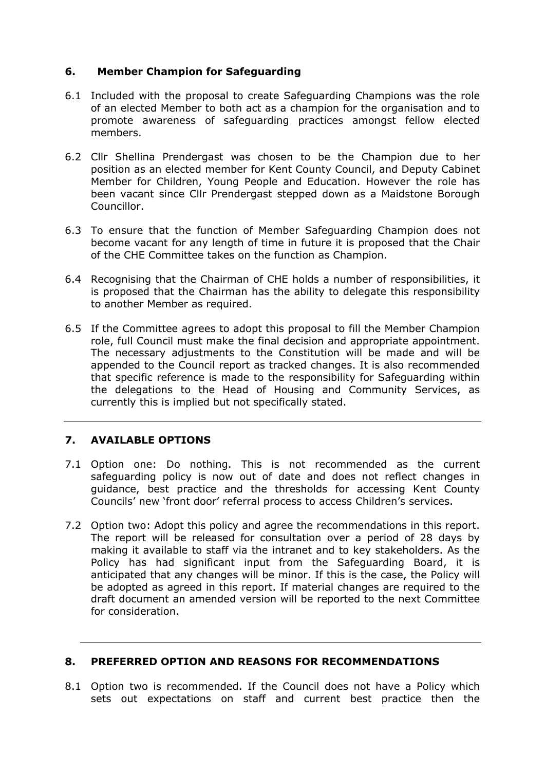## **6. Member Champion for Safeguarding**

- 6.1 Included with the proposal to create Safeguarding Champions was the role of an elected Member to both act as a champion for the organisation and to promote awareness of safeguarding practices amongst fellow elected members.
- 6.2 Cllr Shellina Prendergast was chosen to be the Champion due to her position as an elected member for Kent County Council, and Deputy Cabinet Member for Children, Young People and Education. However the role has been vacant since Cllr Prendergast stepped down as a Maidstone Borough Councillor.
- 6.3 To ensure that the function of Member Safeguarding Champion does not become vacant for any length of time in future it is proposed that the Chair of the CHE Committee takes on the function as Champion.
- 6.4 Recognising that the Chairman of CHE holds a number of responsibilities, it is proposed that the Chairman has the ability to delegate this responsibility to another Member as required.
- 6.5 If the Committee agrees to adopt this proposal to fill the Member Champion role, full Council must make the final decision and appropriate appointment. The necessary adjustments to the Constitution will be made and will be appended to the Council report as tracked changes. It is also recommended that specific reference is made to the responsibility for Safeguarding within the delegations to the Head of Housing and Community Services, as currently this is implied but not specifically stated.

## **7. AVAILABLE OPTIONS**

- 7.1 Option one: Do nothing. This is not recommended as the current safeguarding policy is now out of date and does not reflect changes in guidance, best practice and the thresholds for accessing Kent County Councils' new 'front door' referral process to access Children's services.
- 7.2 Option two: Adopt this policy and agree the recommendations in this report. The report will be released for consultation over a period of 28 days by making it available to staff via the intranet and to key stakeholders. As the Policy has had significant input from the Safeguarding Board, it is anticipated that any changes will be minor. If this is the case, the Policy will be adopted as agreed in this report. If material changes are required to the draft document an amended version will be reported to the next Committee for consideration.

#### **8. PREFERRED OPTION AND REASONS FOR RECOMMENDATIONS**

8.1 Option two is recommended. If the Council does not have a Policy which sets out expectations on staff and current best practice then the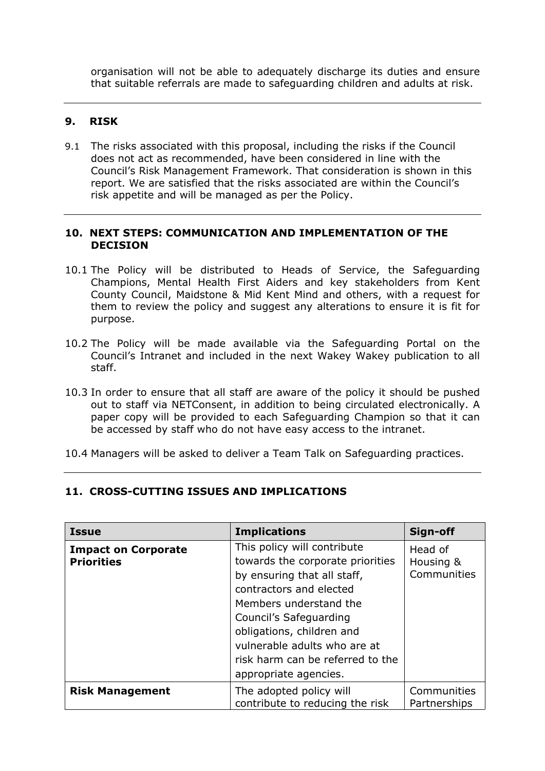organisation will not be able to adequately discharge its duties and ensure that suitable referrals are made to safeguarding children and adults at risk.

### **9. RISK**

9.1 The risks associated with this proposal, including the risks if the Council does not act as recommended, have been considered in line with the Council's Risk Management Framework. That consideration is shown in this report. We are satisfied that the risks associated are within the Council's risk appetite and will be managed as per the Policy.

#### **10. NEXT STEPS: COMMUNICATION AND IMPLEMENTATION OF THE DECISION**

- 10.1 The Policy will be distributed to Heads of Service, the Safeguarding Champions, Mental Health First Aiders and key stakeholders from Kent County Council, Maidstone & Mid Kent Mind and others, with a request for them to review the policy and suggest any alterations to ensure it is fit for purpose.
- 10.2 The Policy will be made available via the Safeguarding Portal on the Council's Intranet and included in the next Wakey Wakey publication to all staff.
- 10.3 In order to ensure that all staff are aware of the policy it should be pushed out to staff via NETConsent, in addition to being circulated electronically. A paper copy will be provided to each Safeguarding Champion so that it can be accessed by staff who do not have easy access to the intranet.
- 10.4 Managers will be asked to deliver a Team Talk on Safeguarding practices.

## **11. CROSS-CUTTING ISSUES AND IMPLICATIONS**

| <b>Issue</b>                                    | <b>Implications</b>                                                                                                                                                                                                                                                                                     | Sign-off                            |
|-------------------------------------------------|---------------------------------------------------------------------------------------------------------------------------------------------------------------------------------------------------------------------------------------------------------------------------------------------------------|-------------------------------------|
| <b>Impact on Corporate</b><br><b>Priorities</b> | This policy will contribute<br>towards the corporate priorities<br>by ensuring that all staff,<br>contractors and elected<br>Members understand the<br>Council's Safeguarding<br>obligations, children and<br>vulnerable adults who are at<br>risk harm can be referred to the<br>appropriate agencies. | Head of<br>Housing &<br>Communities |
| <b>Risk Management</b>                          | The adopted policy will<br>contribute to reducing the risk                                                                                                                                                                                                                                              | Communities<br>Partnerships         |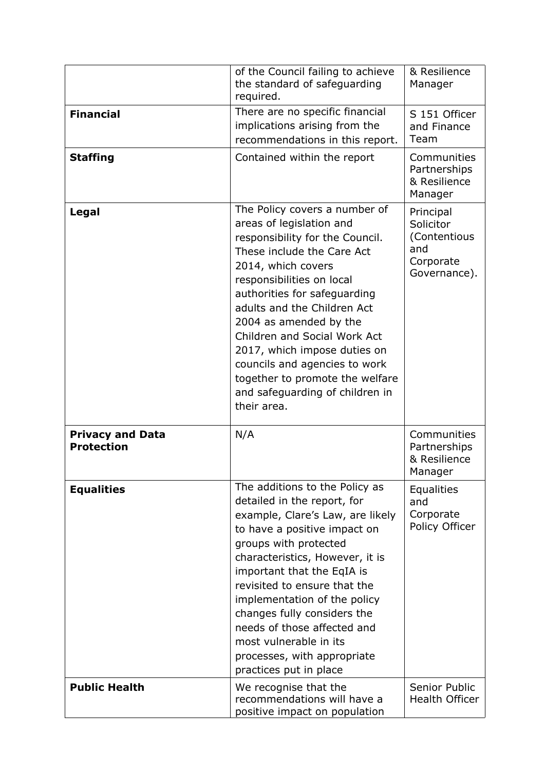|                                              | of the Council failing to achieve<br>the standard of safeguarding<br>required.                                                                                                                                                                                                                                                                                                                                                                               | & Resilience<br>Manager                                                    |
|----------------------------------------------|--------------------------------------------------------------------------------------------------------------------------------------------------------------------------------------------------------------------------------------------------------------------------------------------------------------------------------------------------------------------------------------------------------------------------------------------------------------|----------------------------------------------------------------------------|
| <b>Financial</b>                             | There are no specific financial<br>implications arising from the<br>recommendations in this report.                                                                                                                                                                                                                                                                                                                                                          | S 151 Officer<br>and Finance<br>Team                                       |
| <b>Staffing</b>                              | Contained within the report                                                                                                                                                                                                                                                                                                                                                                                                                                  | Communities<br>Partnerships<br>& Resilience<br>Manager                     |
| Legal                                        | The Policy covers a number of<br>areas of legislation and<br>responsibility for the Council.<br>These include the Care Act<br>2014, which covers<br>responsibilities on local<br>authorities for safeguarding<br>adults and the Children Act<br>2004 as amended by the<br>Children and Social Work Act<br>2017, which impose duties on<br>councils and agencies to work<br>together to promote the welfare<br>and safeguarding of children in<br>their area. | Principal<br>Solicitor<br>(Contentious<br>and<br>Corporate<br>Governance). |
| <b>Privacy and Data</b><br><b>Protection</b> | N/A                                                                                                                                                                                                                                                                                                                                                                                                                                                          | Communities<br>Partnerships<br>& Resilience<br>Manager                     |
| <b>Equalities</b>                            | The additions to the Policy as<br>detailed in the report, for<br>example, Clare's Law, are likely<br>to have a positive impact on<br>groups with protected<br>characteristics, However, it is<br>important that the EqIA is<br>revisited to ensure that the<br>implementation of the policy<br>changes fully considers the<br>needs of those affected and<br>most vulnerable in its<br>processes, with appropriate<br>practices put in place                 | Equalities<br>and<br>Corporate<br>Policy Officer                           |
| <b>Public Health</b>                         | We recognise that the<br>recommendations will have a<br>positive impact on population                                                                                                                                                                                                                                                                                                                                                                        | Senior Public<br>Health Officer                                            |